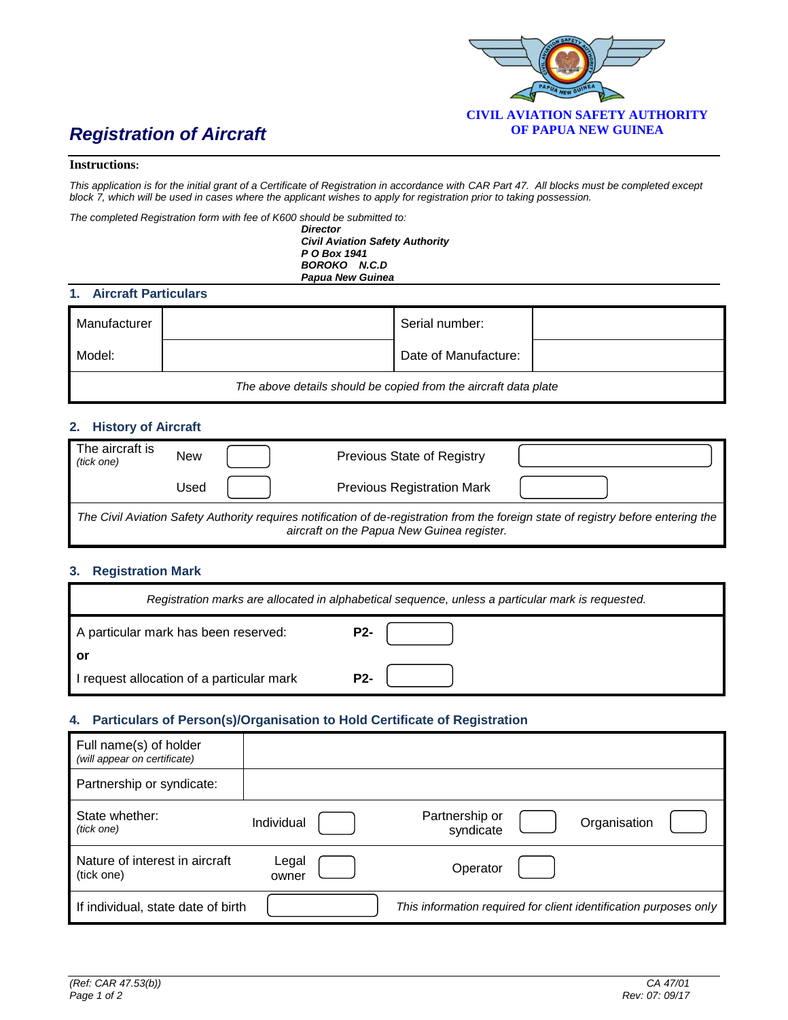

#### **Instructions:**

*This application is for the initial grant of a Certificate of Registration in accordance with CAR Part 47. All blocks must be completed except block 7, which will be used in cases where the applicant wishes to apply for registration prior to taking possession.*

*The completed Registration form with fee of K600 should be submitted to:*

*Director Civil Aviation Safety Authority P O Box 1941 BOROKO N.C.D Papua New Guinea*

#### **1. Aircraft Particulars**

| Manufacturer                                                    |  | Serial number:       |  |  |  |
|-----------------------------------------------------------------|--|----------------------|--|--|--|
| Model:                                                          |  | Date of Manufacture: |  |  |  |
| The above details should be copied from the aircraft data plate |  |                      |  |  |  |

## **2. History of Aircraft**

| The aircraft is<br>(tick one)                                                                                                                                                     | New  |  | Previous State of Registry        |  |  |
|-----------------------------------------------------------------------------------------------------------------------------------------------------------------------------------|------|--|-----------------------------------|--|--|
|                                                                                                                                                                                   | Used |  | <b>Previous Registration Mark</b> |  |  |
| The Civil Aviation Safety Authority requires notification of de-registration from the foreign state of registry before entering the<br>aircraft on the Papua New Guinea register. |      |  |                                   |  |  |

## **3. Registration Mark**

| Registration marks are allocated in alphabetical sequence, unless a particular mark is requested. |            |  |  |  |  |
|---------------------------------------------------------------------------------------------------|------------|--|--|--|--|
| A particular mark has been reserved:                                                              | <b>P2-</b> |  |  |  |  |
| or                                                                                                |            |  |  |  |  |
| I request allocation of a particular mark                                                         | <b>P2-</b> |  |  |  |  |

## **4. Particulars of Person(s)/Organisation to Hold Certificate of Registration**

| Full name(s) of holder<br>(will appear on certificate) |                |                                                                   |              |  |
|--------------------------------------------------------|----------------|-------------------------------------------------------------------|--------------|--|
| Partnership or syndicate:                              |                |                                                                   |              |  |
| State whether:<br>(tick one)                           | Individual     | Partnership or<br>syndicate                                       | Organisation |  |
| Nature of interest in aircraft<br>(tick one)           | Legal<br>owner | Operator                                                          |              |  |
| If individual, state date of birth                     |                | This information required for client identification purposes only |              |  |